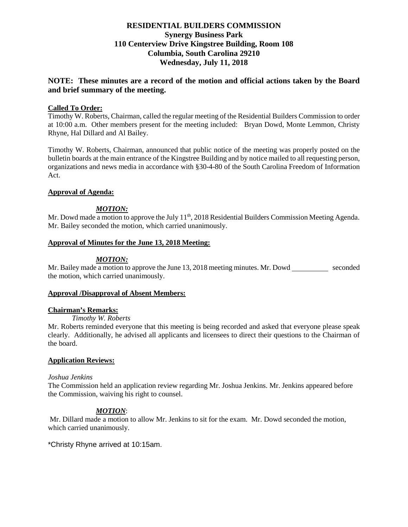# **RESIDENTIAL BUILDERS COMMISSION Synergy Business Park 110 Centerview Drive Kingstree Building, Room 108 Columbia, South Carolina 29210 Wednesday, July 11, 2018**

# **NOTE: These minutes are a record of the motion and official actions taken by the Board and brief summary of the meeting.**

## **Called To Order:**

Timothy W. Roberts, Chairman, called the regular meeting of the Residential Builders Commission to order at 10:00 a.m. Other members present for the meeting included: Bryan Dowd, Monte Lemmon, Christy Rhyne, Hal Dillard and Al Bailey.

Timothy W. Roberts, Chairman, announced that public notice of the meeting was properly posted on the bulletin boards at the main entrance of the Kingstree Building and by notice mailed to all requesting person, organizations and news media in accordance with §30-4-80 of the South Carolina Freedom of Information Act.

## **Approval of Agenda:**

## *MOTION:*

Mr. Dowd made a motion to approve the July 11<sup>th</sup>, 2018 Residential Builders Commission Meeting Agenda. Mr. Bailey seconded the motion, which carried unanimously.

## **Approval of Minutes for the June 13, 2018 Meeting:**

## *MOTION:*

Mr. Bailey made a motion to approve the June 13, 2018 meeting minutes. Mr. Dowd seconded the motion, which carried unanimously.

## **Approval /Disapproval of Absent Members:**

## **Chairman's Remarks:**

*Timothy W. Roberts*

Mr. Roberts reminded everyone that this meeting is being recorded and asked that everyone please speak clearly. Additionally, he advised all applicants and licensees to direct their questions to the Chairman of the board.

## **Application Reviews:**

#### *Joshua Jenkins*

The Commission held an application review regarding Mr. Joshua Jenkins. Mr. Jenkins appeared before the Commission, waiving his right to counsel.

## *MOTION*:

Mr. Dillard made a motion to allow Mr. Jenkins to sit for the exam. Mr. Dowd seconded the motion, which carried unanimously.

\*Christy Rhyne arrived at 10:15am.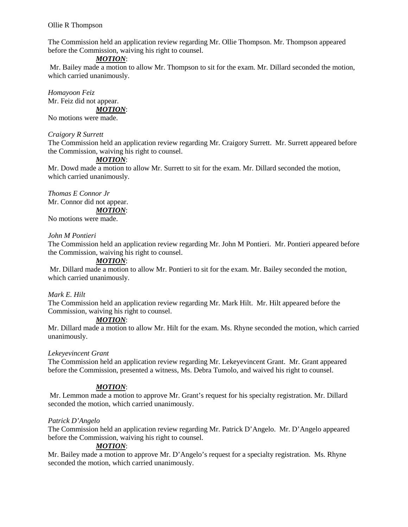Ollie R Thompson

The Commission held an application review regarding Mr. Ollie Thompson. Mr. Thompson appeared before the Commission, waiving his right to counsel.

## *MOTION*:

Mr. Bailey made a motion to allow Mr. Thompson to sit for the exam. Mr. Dillard seconded the motion, which carried unanimously.

*Homayoon Feiz* Mr. Feiz did not appear.

*MOTION*:

No motions were made.

#### *Craigory R Surrett*

The Commission held an application review regarding Mr. Craigory Surrett. Mr. Surrett appeared before the Commission, waiving his right to counsel.

## *MOTION*:

Mr. Dowd made a motion to allow Mr. Surrett to sit for the exam. Mr. Dillard seconded the motion, which carried unanimously.

*Thomas E Connor Jr* Mr. Connor did not appear. *MOTION*:

No motions were made.

#### *John M Pontieri*

The Commission held an application review regarding Mr. John M Pontieri. Mr. Pontieri appeared before the Commission, waiving his right to counsel.

## *MOTION*:

Mr. Dillard made a motion to allow Mr. Pontieri to sit for the exam. Mr. Bailey seconded the motion, which carried unanimously.

## *Mark E. Hilt*

The Commission held an application review regarding Mr. Mark Hilt. Mr. Hilt appeared before the Commission, waiving his right to counsel.

#### *MOTION*:

Mr. Dillard made a motion to allow Mr. Hilt for the exam. Ms. Rhyne seconded the motion, which carried unanimously.

## *Lekeyevincent Grant*

The Commission held an application review regarding Mr. Lekeyevincent Grant. Mr. Grant appeared before the Commission, presented a witness, Ms. Debra Tumolo, and waived his right to counsel.

## *MOTION*:

Mr. Lemmon made a motion to approve Mr. Grant's request for his specialty registration. Mr. Dillard seconded the motion, which carried unanimously.

## *Patrick D'Angelo*

The Commission held an application review regarding Mr. Patrick D'Angelo. Mr. D'Angelo appeared before the Commission, waiving his right to counsel.

## *MOTION*:

Mr. Bailey made a motion to approve Mr. D'Angelo's request for a specialty registration. Ms. Rhyne seconded the motion, which carried unanimously.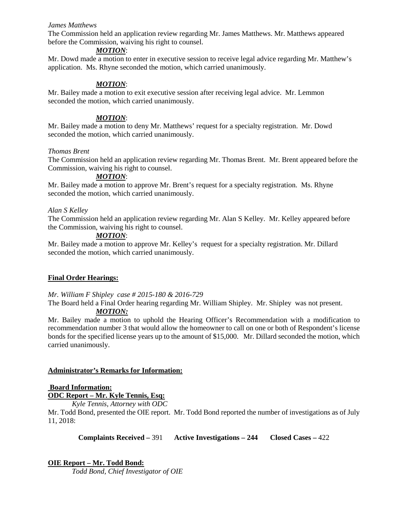## *James Matthews*

The Commission held an application review regarding Mr. James Matthews. Mr. Matthews appeared before the Commission, waiving his right to counsel.

### *MOTION*:

Mr. Dowd made a motion to enter in executive session to receive legal advice regarding Mr. Matthew's application. Ms. Rhyne seconded the motion, which carried unanimously.

## *MOTION*:

Mr. Bailey made a motion to exit executive session after receiving legal advice. Mr. Lemmon seconded the motion, which carried unanimously.

### *MOTION*:

Mr. Bailey made a motion to deny Mr. Matthews' request for a specialty registration. Mr. Dowd seconded the motion, which carried unanimously.

#### *Thomas Brent*

The Commission held an application review regarding Mr. Thomas Brent. Mr. Brent appeared before the Commission, waiving his right to counsel.

## *MOTION*:

Mr. Bailey made a motion to approve Mr. Brent's request for a specialty registration. Ms. Rhyne seconded the motion, which carried unanimously.

## *Alan S Kelley*

The Commission held an application review regarding Mr. Alan S Kelley. Mr. Kelley appeared before the Commission, waiving his right to counsel.

## *MOTION*:

Mr. Bailey made a motion to approve Mr. Kelley's request for a specialty registration. Mr. Dillard seconded the motion, which carried unanimously.

## **Final Order Hearings:**

#### *Mr. William F Shipley case # 2015-180 & 2016-729*

The Board held a Final Order hearing regarding Mr. William Shipley. Mr. Shipley was not present.

# *MOTION:*

Mr. Bailey made a motion to uphold the Hearing Officer's Recommendation with a modification to recommendation number 3 that would allow the homeowner to call on one or both of Respondent's license bonds for the specified license years up to the amount of \$15,000. Mr. Dillard seconded the motion, which carried unanimously.

## **Administrator's Remarks for Information:**

## **Board Information:**

**ODC Report – Mr. Kyle Tennis, Esq:**

*Kyle Tennis, Attorney with ODC*

Mr. Todd Bond, presented the OIE report. Mr. Todd Bond reported the number of investigations as of July 11, 2018:

**Complaints Received –** 391 **Active Investigations – 244 Closed Cases –** 422

## **OIE Report – Mr. Todd Bond:**

*Todd Bond, Chief Investigator of OIE*